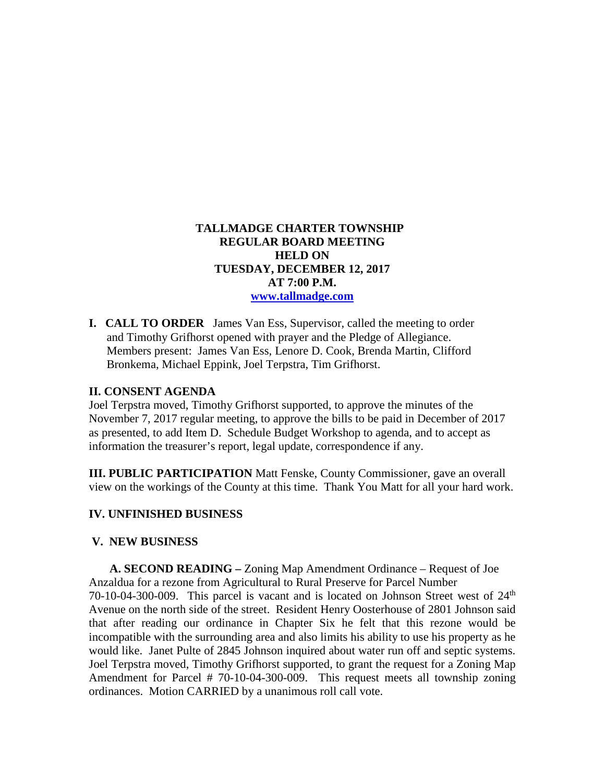# **TALLMADGE CHARTER TOWNSHIP REGULAR BOARD MEETING HELD ON TUESDAY, DECEMBER 12, 2017 AT 7:00 P.M. [www.tallmadge.com](http://www.tallmadge.com/)**

**I. CALL TO ORDER** James Van Ess, Supervisor, called the meeting to order and Timothy Grifhorst opened with prayer and the Pledge of Allegiance. Members present: James Van Ess, Lenore D. Cook, Brenda Martin, Clifford Bronkema, Michael Eppink, Joel Terpstra, Tim Grifhorst.

### **II. CONSENT AGENDA**

Joel Terpstra moved, Timothy Grifhorst supported, to approve the minutes of the November 7, 2017 regular meeting, to approve the bills to be paid in December of 2017 as presented, to add Item D. Schedule Budget Workshop to agenda, and to accept as information the treasurer's report, legal update, correspondence if any.

**III. PUBLIC PARTICIPATION** Matt Fenske, County Commissioner, gave an overall view on the workings of the County at this time. Thank You Matt for all your hard work.

## **IV. UNFINISHED BUSINESS**

#### **V. NEW BUSINESS**

 **A. SECOND READING –** Zoning Map Amendment Ordinance – Request of Joe Anzaldua for a rezone from Agricultural to Rural Preserve for Parcel Number 70-10-04-300-009. This parcel is vacant and is located on Johnson Street west of  $24<sup>th</sup>$ Avenue on the north side of the street. Resident Henry Oosterhouse of 2801 Johnson said that after reading our ordinance in Chapter Six he felt that this rezone would be incompatible with the surrounding area and also limits his ability to use his property as he would like. Janet Pulte of 2845 Johnson inquired about water run off and septic systems. Joel Terpstra moved, Timothy Grifhorst supported, to grant the request for a Zoning Map Amendment for Parcel # 70-10-04-300-009. This request meets all township zoning ordinances. Motion CARRIED by a unanimous roll call vote.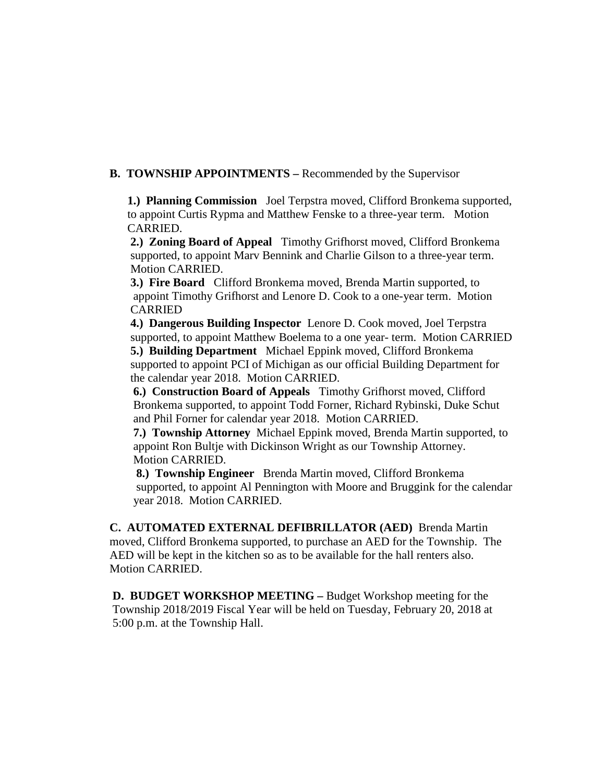**B. TOWNSHIP APPOINTMENTS –** Recommended by the Supervisor

 **1.) Planning Commission** Joel Terpstra moved, Clifford Bronkema supported, to appoint Curtis Rypma and Matthew Fenske to a three-year term. Motion CARRIED.

 **2.) Zoning Board of Appeal** Timothy Grifhorst moved, Clifford Bronkema supported, to appoint Marv Bennink and Charlie Gilson to a three-year term. Motion CARRIED.

 **3.) Fire Board** Clifford Bronkema moved, Brenda Martin supported, to appoint Timothy Grifhorst and Lenore D. Cook to a one-year term. Motion CARRIED

 **4.) Dangerous Building Inspector** Lenore D. Cook moved, Joel Terpstra supported, to appoint Matthew Boelema to a one year- term. Motion CARRIED

 **5.) Building Department** Michael Eppink moved, Clifford Bronkema supported to appoint PCI of Michigan as our official Building Department for the calendar year 2018. Motion CARRIED.

 **6.) Construction Board of Appeals** Timothy Grifhorst moved, Clifford Bronkema supported, to appoint Todd Forner, Richard Rybinski, Duke Schut and Phil Forner for calendar year 2018. Motion CARRIED.

 **7.) Township Attorney** Michael Eppink moved, Brenda Martin supported, to appoint Ron Bultje with Dickinson Wright as our Township Attorney. Motion CARRIED.

 **8.) Township Engineer** Brenda Martin moved, Clifford Bronkema supported, to appoint Al Pennington with Moore and Bruggink for the calendar year 2018. Motion CARRIED.

 **C. AUTOMATED EXTERNAL DEFIBRILLATOR (AED)** Brenda Martin moved, Clifford Bronkema supported, to purchase an AED for the Township. The AED will be kept in the kitchen so as to be available for the hall renters also. Motion CARRIED.

 **D. BUDGET WORKSHOP MEETING –** Budget Workshop meeting for the Township 2018/2019 Fiscal Year will be held on Tuesday, February 20, 2018 at 5:00 p.m. at the Township Hall.